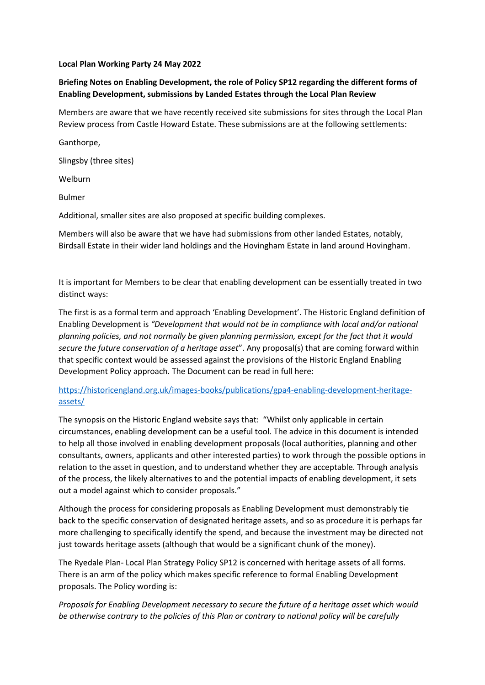## **Local Plan Working Party 24 May 2022**

## **Briefing Notes on Enabling Development, the role of Policy SP12 regarding the different forms of Enabling Development, submissions by Landed Estates through the Local Plan Review**

Members are aware that we have recently received site submissions for sites through the Local Plan Review process from Castle Howard Estate. These submissions are at the following settlements:

Ganthorpe, Slingsby (three sites) Welburn Bulmer Additional, smaller sites are also proposed at specific building complexes.

Members will also be aware that we have had submissions from other landed Estates, notably, Birdsall Estate in their wider land holdings and the Hovingham Estate in land around Hovingham.

It is important for Members to be clear that enabling development can be essentially treated in two distinct ways:

The first is as a formal term and approach 'Enabling Development'. The Historic England definition of Enabling Development is *"Development that would not be in compliance with local and/or national planning policies, and not normally be given planning permission, except for the fact that it would secure the future conservation of a heritage asset*". Any proposal(s) that are coming forward within that specific context would be assessed against the provisions of the Historic England Enabling Development Policy approach. The Document can be read in full here:

## [https://historicengland.org.uk/images-books/publications/gpa4-enabling-development-heritage](https://historicengland.org.uk/images-books/publications/gpa4-enabling-development-heritage-assets/)[assets/](https://historicengland.org.uk/images-books/publications/gpa4-enabling-development-heritage-assets/)

The synopsis on the Historic England website says that: "Whilst only applicable in certain circumstances, enabling development can be a useful tool. The advice in this document is intended to help all those involved in enabling development proposals (local authorities, planning and other consultants, owners, applicants and other interested parties) to work through the possible options in relation to the asset in question, and to understand whether they are acceptable. Through analysis of the process, the likely alternatives to and the potential impacts of enabling development, it sets out a model against which to consider proposals."

Although the process for considering proposals as Enabling Development must demonstrably tie back to the specific conservation of designated heritage assets, and so as procedure it is perhaps far more challenging to specifically identify the spend, and because the investment may be directed not just towards heritage assets (although that would be a significant chunk of the money).

The Ryedale Plan- Local Plan Strategy Policy SP12 is concerned with heritage assets of all forms. There is an arm of the policy which makes specific reference to formal Enabling Development proposals. The Policy wording is:

*Proposals for Enabling Development necessary to secure the future of a heritage asset which would be otherwise contrary to the policies of this Plan or contrary to national policy will be carefully*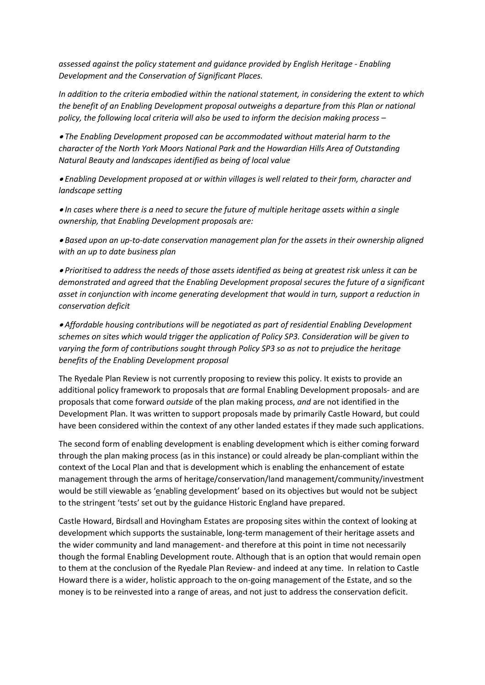*assessed against the policy statement and guidance provided by English Heritage - Enabling Development and the Conservation of Significant Places.* 

*In addition to the criteria embodied within the national statement, in considering the extent to which the benefit of an Enabling Development proposal outweighs a departure from this Plan or national policy, the following local criteria will also be used to inform the decision making process –*

 *The Enabling Development proposed can be accommodated without material harm to the character of the North York Moors National Park and the Howardian Hills Area of Outstanding Natural Beauty and landscapes identified as being of local value* 

 *Enabling Development proposed at or within villages is well related to their form, character and landscape setting* 

 *In cases where there is a need to secure the future of multiple heritage assets within a single ownership, that Enabling Development proposals are:* 

 *Based upon an up-to-date conservation management plan for the assets in their ownership aligned with an up to date business plan* 

 *Prioritised to address the needs of those assets identified as being at greatest risk unless it can be demonstrated and agreed that the Enabling Development proposal secures the future of a significant asset in conjunction with income generating development that would in turn, support a reduction in conservation deficit* 

 *Affordable housing contributions will be negotiated as part of residential Enabling Development schemes on sites which would trigger the application of Policy SP3. Consideration will be given to varying the form of contributions sought through Policy SP3 so as not to prejudice the heritage benefits of the Enabling Development proposal*

The Ryedale Plan Review is not currently proposing to review this policy. It exists to provide an additional policy framework to proposals that *are* formal Enabling Development proposals- and are proposals that come forward *outside* of the plan making process, *and* are not identified in the Development Plan. It was written to support proposals made by primarily Castle Howard, but could have been considered within the context of any other landed estates if they made such applications.

The second form of enabling development is enabling development which is either coming forward through the plan making process (as in this instance) or could already be plan-compliant within the context of the Local Plan and that is development which is enabling the enhancement of estate management through the arms of heritage/conservation/land management/community/investment would be still viewable as 'enabling development' based on its objectives but would not be subject to the stringent 'tests' set out by the guidance Historic England have prepared.

Castle Howard, Birdsall and Hovingham Estates are proposing sites within the context of looking at development which supports the sustainable, long-term management of their heritage assets and the wider community and land management- and therefore at this point in time not necessarily though the formal Enabling Development route. Although that is an option that would remain open to them at the conclusion of the Ryedale Plan Review- and indeed at any time. In relation to Castle Howard there is a wider, holistic approach to the on-going management of the Estate, and so the money is to be reinvested into a range of areas, and not just to address the conservation deficit.